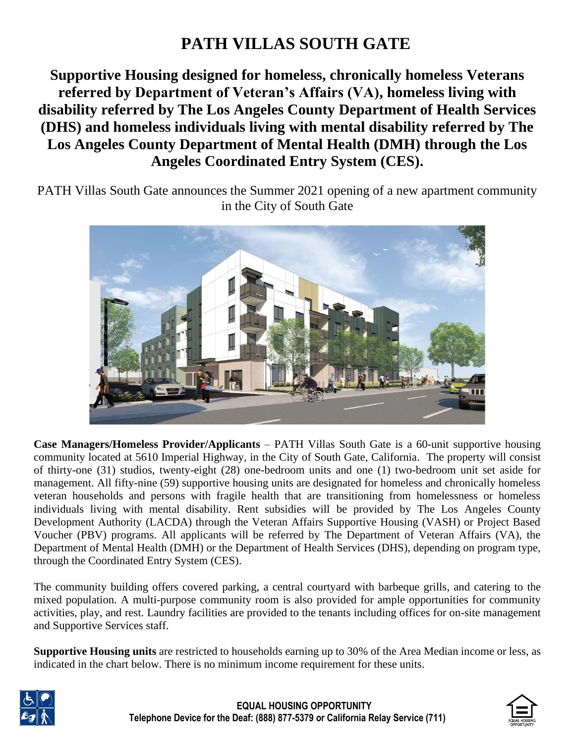# **PATH VILLAS SOUTH GATE**

**Supportive Housing designed for homeless, chronically homeless Veterans referred by Department of Veteran's Affairs (VA), homeless living with disability referred by The Los Angeles County Department of Health Services (DHS) and homeless individuals living with mental disability referred by The Los Angeles County Department of Mental Health (DMH) through the Los Angeles Coordinated Entry System (CES).**

PATH Villas South Gate announces the Summer 2021 opening of a new apartment community in the City of South Gate



**Case Managers/Homeless Provider/Applicants** – PATH Villas South Gate is a 60-unit supportive housing community located at 5610 Imperial Highway, in the City of South Gate, California. The property will consist of thirty-one (31) studios, twenty-eight (28) one-bedroom units and one (1) two-bedroom unit set aside for management. All fifty-nine (59) supportive housing units are designated for homeless and chronically homeless veteran households and persons with fragile health that are transitioning from homelessness or homeless individuals living with mental disability. Rent subsidies will be provided by The Los Angeles County Development Authority (LACDA) through the Veteran Affairs Supportive Housing (VASH) or Project Based Voucher (PBV) programs. All applicants will be referred by The Department of Veteran Affairs (VA), the Department of Mental Health (DMH) or the Department of Health Services (DHS), depending on program type, through the Coordinated Entry System (CES).

The community building offers covered parking, a central courtyard with barbeque grills, and catering to the mixed population. A multi-purpose community room is also provided for ample opportunities for community activities, play, and rest. Laundry facilities are provided to the tenants including offices for on-site management and Supportive Services staff.

**Supportive Housing units** are restricted to households earning up to 30% of the Area Median income or less, as indicated in the chart below. There is no minimum income requirement for these units.



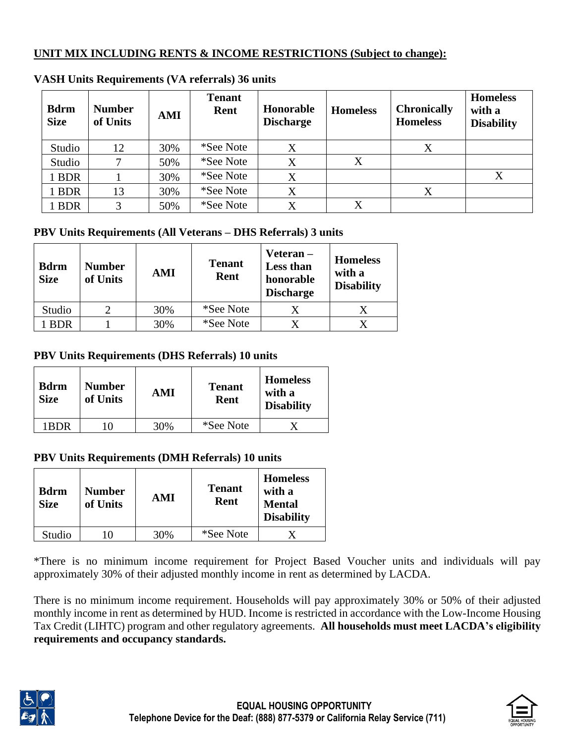### **UNIT MIX INCLUDING RENTS & INCOME RESTRICTIONS (Subject to change):**

| <b>Bdrm</b><br><b>Size</b> | <b>Number</b><br>of Units | AMI | <b>Tenant</b><br>Rent | Honorable<br><b>Discharge</b> | <b>Homeless</b> | <b>Chronically</b><br><b>Homeless</b> | <b>Homeless</b><br>with a<br><b>Disability</b> |
|----------------------------|---------------------------|-----|-----------------------|-------------------------------|-----------------|---------------------------------------|------------------------------------------------|
| Studio                     | 12                        | 30% | *See Note             | X                             |                 | X                                     |                                                |
| Studio                     |                           | 50% | *See Note             | X                             | X               |                                       |                                                |
| 1 BDR                      |                           | 30% | *See Note             | X                             |                 |                                       | X                                              |
| 1 BDR                      | 13                        | 30% | *See Note             | $\rm X$                       |                 | Χ                                     |                                                |
| 1 BDR                      | 3                         | 50% | *See Note             | X                             | X               |                                       |                                                |

#### **VASH Units Requirements (VA referrals) 36 units**

## **PBV Units Requirements (All Veterans – DHS Referrals) 3 units**

| <b>Bdrm</b><br><b>Size</b> | <b>Number</b><br>of Units | AMI | <b>Tenant</b><br>Rent | Veteran-<br>Less than<br>honorable<br><b>Discharge</b> | <b>Homeless</b><br>with a<br><b>Disability</b> |
|----------------------------|---------------------------|-----|-----------------------|--------------------------------------------------------|------------------------------------------------|
| Studio                     |                           | 30% | *See Note             | X                                                      |                                                |
| <b>BDR</b>                 |                           | 30% | *See Note             | X                                                      |                                                |

## **PBV Units Requirements (DHS Referrals) 10 units**

| <b>Bdrm</b><br><b>Size</b> | <b>Number</b><br>of Units | AMI | <b>Tenant</b><br>Rent | <b>Homeless</b><br>with a<br><b>Disability</b> |
|----------------------------|---------------------------|-----|-----------------------|------------------------------------------------|
| 1RDR                       |                           | 30% | *See Note             |                                                |

#### **PBV Units Requirements (DMH Referrals) 10 units**

| <b>Bdrm</b><br><b>Size</b> | <b>Number</b><br>of Units | AMI | <b>Tenant</b><br>Rent | <b>Homeless</b><br>with a<br><b>Mental</b><br><b>Disability</b> |
|----------------------------|---------------------------|-----|-----------------------|-----------------------------------------------------------------|
| Studio                     |                           | 30% | *See Note             |                                                                 |

\*There is no minimum income requirement for Project Based Voucher units and individuals will pay approximately 30% of their adjusted monthly income in rent as determined by LACDA.

There is no minimum income requirement. Households will pay approximately 30% or 50% of their adjusted monthly income in rent as determined by HUD. Income is restricted in accordance with the Low-Income Housing Tax Credit (LIHTC) program and other regulatory agreements. **All households must meet LACDA's eligibility requirements and occupancy standards.**